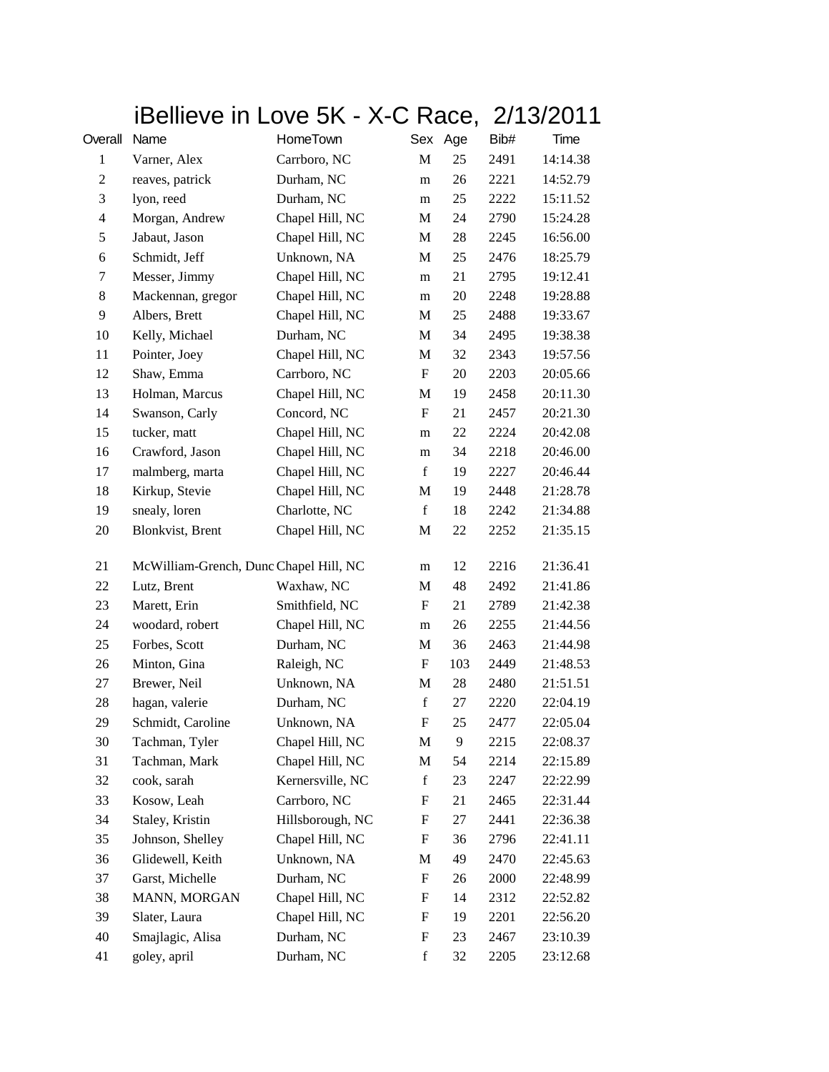|                                                              |                                        | iBellieve in Love 5K - X-C Race, 2/13/2011 |                           |     |      |          |
|--------------------------------------------------------------|----------------------------------------|--------------------------------------------|---------------------------|-----|------|----------|
| Overall                                                      | Name                                   | HomeTown                                   | Sex Age                   |     | Bib# | Time     |
| 1                                                            | Varner, Alex                           | Carrboro, NC                               | M                         | 25  | 2491 | 14:14.38 |
| $\mathfrak{2}% =\mathfrak{2}\left( \mathfrak{2}\right) ^{2}$ | reaves, patrick                        | Durham, NC                                 | m                         | 26  | 2221 | 14:52.79 |
| $\mathfrak{Z}$                                               | lyon, reed                             | Durham, NC                                 | m                         | 25  | 2222 | 15:11.52 |
| $\overline{\mathcal{A}}$                                     | Morgan, Andrew                         | Chapel Hill, NC                            | M                         | 24  | 2790 | 15:24.28 |
| 5                                                            | Jabaut, Jason                          | Chapel Hill, NC                            | M                         | 28  | 2245 | 16:56.00 |
| 6                                                            | Schmidt, Jeff                          | Unknown, NA                                | M                         | 25  | 2476 | 18:25.79 |
| 7                                                            | Messer, Jimmy                          | Chapel Hill, NC                            | m                         | 21  | 2795 | 19:12.41 |
| 8                                                            | Mackennan, gregor                      | Chapel Hill, NC                            | m                         | 20  | 2248 | 19:28.88 |
| 9                                                            | Albers, Brett                          | Chapel Hill, NC                            | M                         | 25  | 2488 | 19:33.67 |
| 10                                                           | Kelly, Michael                         | Durham, NC                                 | M                         | 34  | 2495 | 19:38.38 |
| 11                                                           | Pointer, Joey                          | Chapel Hill, NC                            | M                         | 32  | 2343 | 19:57.56 |
| 12                                                           | Shaw, Emma                             | Carrboro, NC                               | F                         | 20  | 2203 | 20:05.66 |
| 13                                                           | Holman, Marcus                         | Chapel Hill, NC                            | M                         | 19  | 2458 | 20:11.30 |
| 14                                                           | Swanson, Carly                         | Concord, NC                                | F                         | 21  | 2457 | 20:21.30 |
| 15                                                           | tucker, matt                           | Chapel Hill, NC                            | m                         | 22  | 2224 | 20:42.08 |
| 16                                                           | Crawford, Jason                        | Chapel Hill, NC                            | m                         | 34  | 2218 | 20:46.00 |
| 17                                                           | malmberg, marta                        | Chapel Hill, NC                            | f                         | 19  | 2227 | 20:46.44 |
| 18                                                           | Kirkup, Stevie                         | Chapel Hill, NC                            | M                         | 19  | 2448 | 21:28.78 |
| 19                                                           | snealy, loren                          | Charlotte, NC                              | f                         | 18  | 2242 | 21:34.88 |
| 20                                                           | Blonkvist, Brent                       | Chapel Hill, NC                            | M                         | 22  | 2252 | 21:35.15 |
|                                                              |                                        |                                            |                           |     |      |          |
| 21                                                           | McWilliam-Grench, Dunc Chapel Hill, NC |                                            | m                         | 12  | 2216 | 21:36.41 |
| 22                                                           | Lutz, Brent                            | Waxhaw, NC                                 | M                         | 48  | 2492 | 21:41.86 |
| 23                                                           | Marett, Erin                           | Smithfield, NC                             | F                         | 21  | 2789 | 21:42.38 |
| 24                                                           | woodard, robert                        | Chapel Hill, NC                            | m                         | 26  | 2255 | 21:44.56 |
| 25                                                           | Forbes, Scott                          | Durham, NC                                 | M                         | 36  | 2463 | 21:44.98 |
| 26                                                           | Minton, Gina                           | Raleigh, NC                                | F                         | 103 | 2449 | 21:48.53 |
| 27                                                           | Brewer, Neil                           | Unknown, NA                                | M                         | 28  | 2480 | 21:51.51 |
| 28                                                           | hagan, valerie                         | Durham, NC                                 | $\mathbf f$               | 27  | 2220 | 22:04.19 |
| 29                                                           | Schmidt, Caroline                      | Unknown, NA                                | $\boldsymbol{\mathrm{F}}$ | 25  | 2477 | 22:05.04 |
| 30                                                           | Tachman, Tyler                         | Chapel Hill, NC                            | M                         | 9   | 2215 | 22:08.37 |
| 31                                                           | Tachman, Mark                          | Chapel Hill, NC                            | M                         | 54  | 2214 | 22:15.89 |
| 32                                                           | cook, sarah                            | Kernersville, NC                           | $\mathbf f$               | 23  | 2247 | 22:22.99 |
| 33                                                           | Kosow, Leah                            | Carrboro, NC                               | F                         | 21  | 2465 | 22:31.44 |
| 34                                                           | Staley, Kristin                        | Hillsborough, NC                           | F                         | 27  | 2441 | 22:36.38 |
| 35                                                           | Johnson, Shelley                       | Chapel Hill, NC                            | F                         | 36  | 2796 | 22:41.11 |
| 36                                                           | Glidewell, Keith                       | Unknown, NA                                | M                         | 49  | 2470 | 22:45.63 |
| 37                                                           | Garst, Michelle                        | Durham, NC                                 | F                         | 26  | 2000 | 22:48.99 |
| 38                                                           | MANN, MORGAN                           | Chapel Hill, NC                            | F                         | 14  | 2312 | 22:52.82 |
| 39                                                           | Slater, Laura                          | Chapel Hill, NC                            | F                         | 19  | 2201 | 22:56.20 |
| 40                                                           | Smajlagic, Alisa                       | Durham, NC                                 | F                         | 23  | 2467 | 23:10.39 |
| 41                                                           | goley, april                           | Durham, NC                                 | $\mathbf f$               | 32  | 2205 | 23:12.68 |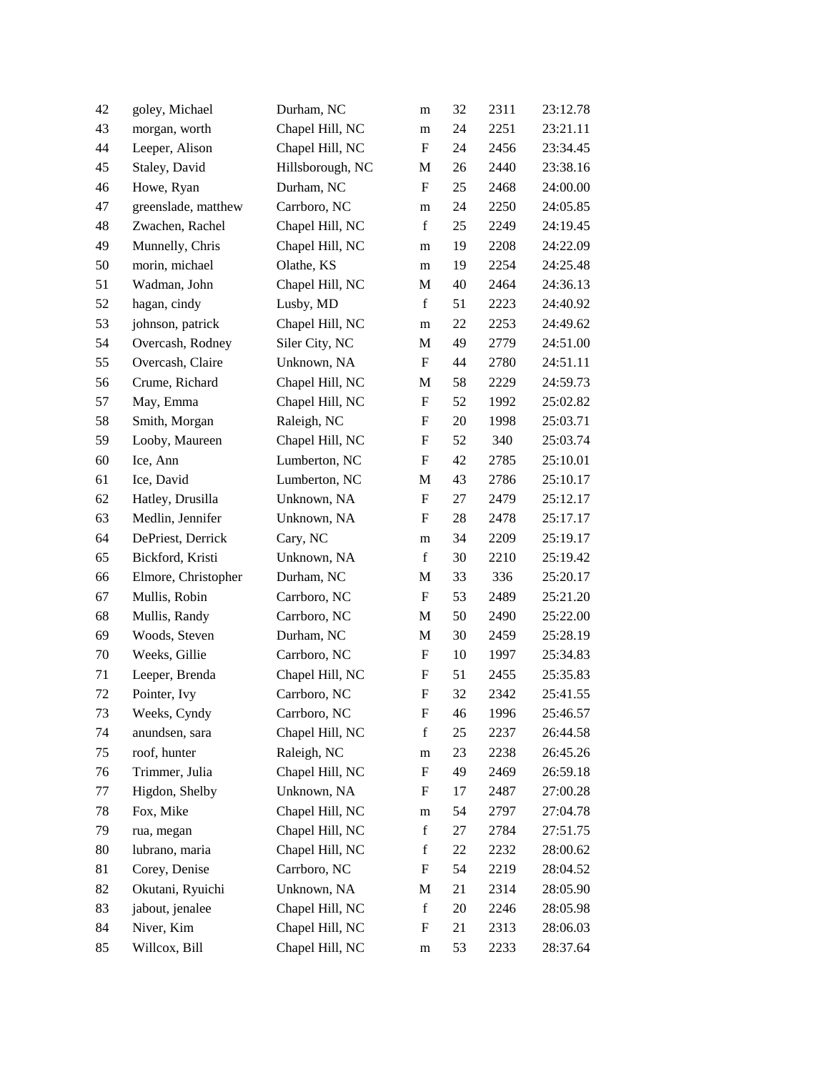| 42 | goley, Michael      | Durham, NC       | m                         | 32 | 2311 | 23:12.78 |
|----|---------------------|------------------|---------------------------|----|------|----------|
| 43 | morgan, worth       | Chapel Hill, NC  | m                         | 24 | 2251 | 23:21.11 |
| 44 | Leeper, Alison      | Chapel Hill, NC  | $\mathbf F$               | 24 | 2456 | 23:34.45 |
| 45 | Staley, David       | Hillsborough, NC | M                         | 26 | 2440 | 23:38.16 |
| 46 | Howe, Ryan          | Durham, NC       | $\boldsymbol{\mathrm{F}}$ | 25 | 2468 | 24:00.00 |
| 47 | greenslade, matthew | Carrboro, NC     | ${\rm m}$                 | 24 | 2250 | 24:05.85 |
| 48 | Zwachen, Rachel     | Chapel Hill, NC  | $\mathbf f$               | 25 | 2249 | 24:19.45 |
| 49 | Munnelly, Chris     | Chapel Hill, NC  | m                         | 19 | 2208 | 24:22.09 |
| 50 | morin, michael      | Olathe, KS       | m                         | 19 | 2254 | 24:25.48 |
| 51 | Wadman, John        | Chapel Hill, NC  | M                         | 40 | 2464 | 24:36.13 |
| 52 | hagan, cindy        | Lusby, MD        | $\mathbf f$               | 51 | 2223 | 24:40.92 |
| 53 | johnson, patrick    | Chapel Hill, NC  | m                         | 22 | 2253 | 24:49.62 |
| 54 | Overcash, Rodney    | Siler City, NC   | M                         | 49 | 2779 | 24:51.00 |
| 55 | Overcash, Claire    | Unknown, NA      | F                         | 44 | 2780 | 24:51.11 |
| 56 | Crume, Richard      | Chapel Hill, NC  | M                         | 58 | 2229 | 24:59.73 |
| 57 | May, Emma           | Chapel Hill, NC  | $\boldsymbol{\mathrm{F}}$ | 52 | 1992 | 25:02.82 |
| 58 | Smith, Morgan       | Raleigh, NC      | F                         | 20 | 1998 | 25:03.71 |
| 59 | Looby, Maureen      | Chapel Hill, NC  | $\boldsymbol{\mathrm{F}}$ | 52 | 340  | 25:03.74 |
| 60 | Ice, Ann            | Lumberton, NC    | $\boldsymbol{\mathrm{F}}$ | 42 | 2785 | 25:10.01 |
| 61 | Ice, David          | Lumberton, NC    | M                         | 43 | 2786 | 25:10.17 |
| 62 | Hatley, Drusilla    | Unknown, NA      | $\boldsymbol{\mathrm{F}}$ | 27 | 2479 | 25:12.17 |
| 63 | Medlin, Jennifer    | Unknown, NA      | F                         | 28 | 2478 | 25:17.17 |
| 64 | DePriest, Derrick   | Cary, NC         | m                         | 34 | 2209 | 25:19.17 |
| 65 | Bickford, Kristi    | Unknown, NA      | $\mathbf f$               | 30 | 2210 | 25:19.42 |
| 66 | Elmore, Christopher | Durham, NC       | M                         | 33 | 336  | 25:20.17 |
| 67 | Mullis, Robin       | Carrboro, NC     | $\boldsymbol{\mathrm{F}}$ | 53 | 2489 | 25:21.20 |
| 68 | Mullis, Randy       | Carrboro, NC     | M                         | 50 | 2490 | 25:22.00 |
| 69 | Woods, Steven       | Durham, NC       | M                         | 30 | 2459 | 25:28.19 |
| 70 | Weeks, Gillie       | Carrboro, NC     | $\boldsymbol{F}$          | 10 | 1997 | 25:34.83 |
| 71 | Leeper, Brenda      | Chapel Hill, NC  | $\boldsymbol{F}$          | 51 | 2455 | 25:35.83 |
| 72 | Pointer, Ivy        | Carrboro, NC     | $\boldsymbol{\mathrm{F}}$ | 32 | 2342 | 25:41.55 |
| 73 | Weeks, Cyndy        | Carrboro, NC     | F                         | 46 | 1996 | 25:46.57 |
| 74 | anundsen, sara      | Chapel Hill, NC  | $\mathbf f$               | 25 | 2237 | 26:44.58 |
| 75 | roof, hunter        | Raleigh, NC      | ${\rm m}$                 | 23 | 2238 | 26:45.26 |
| 76 | Trimmer, Julia      | Chapel Hill, NC  | $\boldsymbol{\mathrm{F}}$ | 49 | 2469 | 26:59.18 |
| 77 | Higdon, Shelby      | Unknown, NA      | $\boldsymbol{F}$          | 17 | 2487 | 27:00.28 |
| 78 | Fox, Mike           | Chapel Hill, NC  | m                         | 54 | 2797 | 27:04.78 |
| 79 | rua, megan          | Chapel Hill, NC  | $\mathbf f$               | 27 | 2784 | 27:51.75 |
| 80 | lubrano, maria      | Chapel Hill, NC  | $\mathbf f$               | 22 | 2232 | 28:00.62 |
| 81 | Corey, Denise       | Carrboro, NC     | F                         | 54 | 2219 | 28:04.52 |
| 82 | Okutani, Ryuichi    | Unknown, NA      | M                         | 21 | 2314 | 28:05.90 |
| 83 | jabout, jenalee     | Chapel Hill, NC  | $\mathbf f$               | 20 | 2246 | 28:05.98 |
| 84 | Niver, Kim          | Chapel Hill, NC  | ${\bf F}$                 | 21 | 2313 | 28:06.03 |
| 85 | Willcox, Bill       | Chapel Hill, NC  | m                         | 53 | 2233 | 28:37.64 |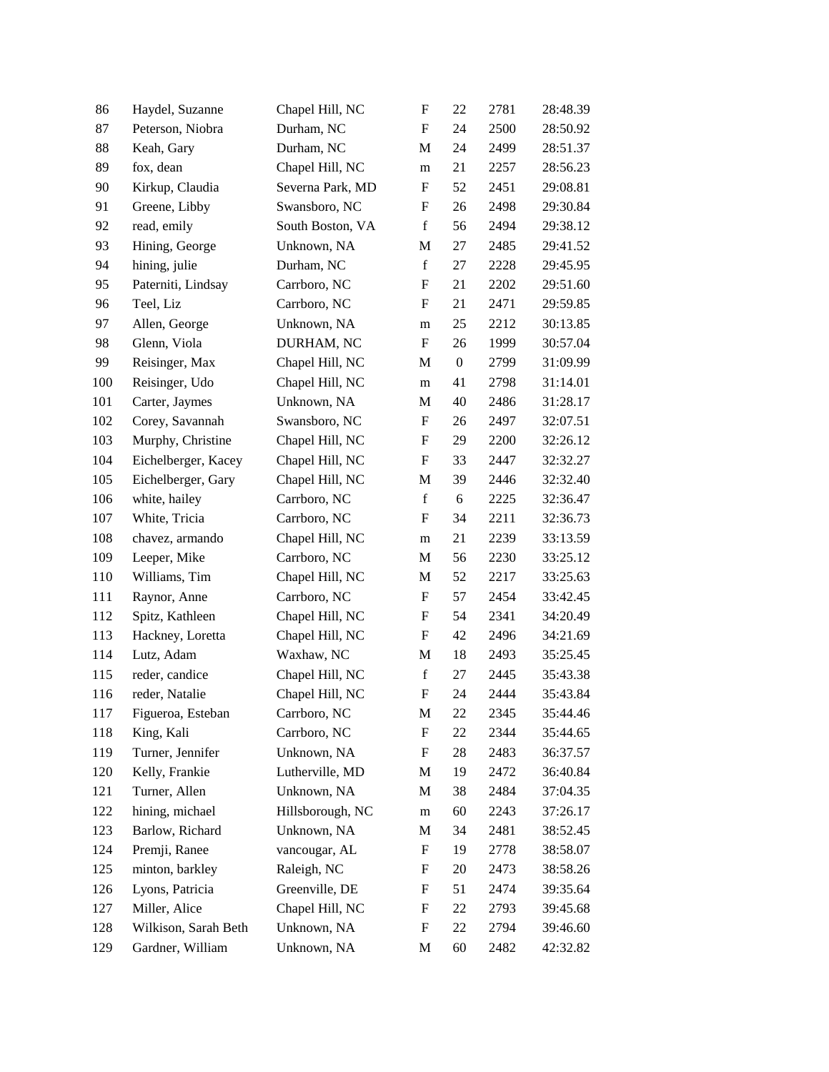| 86  | Haydel, Suzanne      | Chapel Hill, NC  | $\boldsymbol{\mathrm{F}}$ | 22               | 2781 | 28:48.39 |
|-----|----------------------|------------------|---------------------------|------------------|------|----------|
| 87  | Peterson, Niobra     | Durham, NC       | $\boldsymbol{\mathrm{F}}$ | 24               | 2500 | 28:50.92 |
| 88  | Keah, Gary           | Durham, NC       | M                         | 24               | 2499 | 28:51.37 |
| 89  | fox, dean            | Chapel Hill, NC  | m                         | 21               | 2257 | 28:56.23 |
| 90  | Kirkup, Claudia      | Severna Park, MD | $\boldsymbol{\mathrm{F}}$ | 52               | 2451 | 29:08.81 |
| 91  | Greene, Libby        | Swansboro, NC    | $\boldsymbol{\mathrm{F}}$ | 26               | 2498 | 29:30.84 |
| 92  | read, emily          | South Boston, VA | $\mathbf f$               | 56               | 2494 | 29:38.12 |
| 93  | Hining, George       | Unknown, NA      | M                         | 27               | 2485 | 29:41.52 |
| 94  | hining, julie        | Durham, NC       | $\mathbf f$               | 27               | 2228 | 29:45.95 |
| 95  | Paterniti, Lindsay   | Carrboro, NC     | ${\bf F}$                 | 21               | 2202 | 29:51.60 |
| 96  | Teel, Liz            | Carrboro, NC     | $\boldsymbol{\mathrm{F}}$ | 21               | 2471 | 29:59.85 |
| 97  | Allen, George        | Unknown, NA      | m                         | 25               | 2212 | 30:13.85 |
| 98  | Glenn, Viola         | DURHAM, NC       | $\boldsymbol{\mathrm{F}}$ | 26               | 1999 | 30:57.04 |
| 99  | Reisinger, Max       | Chapel Hill, NC  | M                         | $\boldsymbol{0}$ | 2799 | 31:09.99 |
| 100 | Reisinger, Udo       | Chapel Hill, NC  | m                         | 41               | 2798 | 31:14.01 |
| 101 | Carter, Jaymes       | Unknown, NA      | M                         | $40\,$           | 2486 | 31:28.17 |
| 102 | Corey, Savannah      | Swansboro, NC    | F                         | 26               | 2497 | 32:07.51 |
| 103 | Murphy, Christine    | Chapel Hill, NC  | F                         | 29               | 2200 | 32:26.12 |
| 104 | Eichelberger, Kacey  | Chapel Hill, NC  | F                         | 33               | 2447 | 32:32.27 |
| 105 | Eichelberger, Gary   | Chapel Hill, NC  | M                         | 39               | 2446 | 32:32.40 |
| 106 | white, hailey        | Carrboro, NC     | $\mathbf f$               | 6                | 2225 | 32:36.47 |
| 107 | White, Tricia        | Carrboro, NC     | F                         | 34               | 2211 | 32:36.73 |
| 108 | chavez, armando      | Chapel Hill, NC  | m                         | 21               | 2239 | 33:13.59 |
| 109 | Leeper, Mike         | Carrboro, NC     | M                         | 56               | 2230 | 33:25.12 |
| 110 | Williams, Tim        | Chapel Hill, NC  | M                         | 52               | 2217 | 33:25.63 |
| 111 | Raynor, Anne         | Carrboro, NC     | $\boldsymbol{\mathrm{F}}$ | 57               | 2454 | 33:42.45 |
| 112 | Spitz, Kathleen      | Chapel Hill, NC  | F                         | 54               | 2341 | 34:20.49 |
| 113 | Hackney, Loretta     | Chapel Hill, NC  | F                         | 42               | 2496 | 34:21.69 |
| 114 | Lutz, Adam           | Waxhaw, NC       | M                         | 18               | 2493 | 35:25.45 |
| 115 | reder, candice       | Chapel Hill, NC  | $\mathbf f$               | 27               | 2445 | 35:43.38 |
| 116 | reder, Natalie       | Chapel Hill, NC  | $\boldsymbol{\mathrm{F}}$ | 24               | 2444 | 35:43.84 |
| 117 | Figueroa, Esteban    | Carrboro, NC     | M                         | 22               | 2345 | 35:44.46 |
| 118 | King, Kali           | Carrboro, NC     | F                         | 22               | 2344 | 35:44.65 |
| 119 | Turner, Jennifer     | Unknown, NA      | F                         | 28               | 2483 | 36:37.57 |
| 120 | Kelly, Frankie       | Lutherville, MD  | M                         | 19               | 2472 | 36:40.84 |
| 121 | Turner, Allen        | Unknown, NA      | M                         | 38               | 2484 | 37:04.35 |
| 122 | hining, michael      | Hillsborough, NC | m                         | 60               | 2243 | 37:26.17 |
| 123 | Barlow, Richard      | Unknown, NA      | M                         | 34               | 2481 | 38:52.45 |
| 124 | Premji, Ranee        | vancougar, AL    | F                         | 19               | 2778 | 38:58.07 |
| 125 | minton, barkley      | Raleigh, NC      | F                         | 20               | 2473 | 38:58.26 |
| 126 | Lyons, Patricia      | Greenville, DE   | F                         | 51               | 2474 | 39:35.64 |
| 127 | Miller, Alice        | Chapel Hill, NC  | F                         | 22               | 2793 | 39:45.68 |
| 128 | Wilkison, Sarah Beth | Unknown, NA      | F                         | 22               | 2794 | 39:46.60 |
| 129 | Gardner, William     | Unknown, NA      | M                         | 60               | 2482 | 42:32.82 |